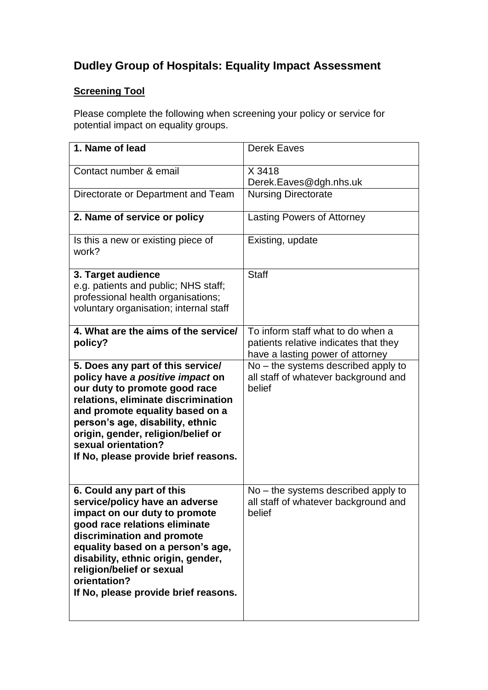## **Dudley Group of Hospitals: Equality Impact Assessment**

## **Screening Tool**

Please complete the following when screening your policy or service for potential impact on equality groups.

| 1. Name of lead                                                                                                                                                                                                                                                                                                             | <b>Derek Eaves</b>                                                                                             |
|-----------------------------------------------------------------------------------------------------------------------------------------------------------------------------------------------------------------------------------------------------------------------------------------------------------------------------|----------------------------------------------------------------------------------------------------------------|
| Contact number & email                                                                                                                                                                                                                                                                                                      | X 3418<br>Derek.Eaves@dgh.nhs.uk                                                                               |
| Directorate or Department and Team                                                                                                                                                                                                                                                                                          | <b>Nursing Directorate</b>                                                                                     |
| 2. Name of service or policy                                                                                                                                                                                                                                                                                                | <b>Lasting Powers of Attorney</b>                                                                              |
| Is this a new or existing piece of<br>work?                                                                                                                                                                                                                                                                                 | Existing, update                                                                                               |
| 3. Target audience<br>e.g. patients and public; NHS staff;<br>professional health organisations;<br>voluntary organisation; internal staff                                                                                                                                                                                  | <b>Staff</b>                                                                                                   |
| 4. What are the aims of the service/<br>policy?                                                                                                                                                                                                                                                                             | To inform staff what to do when a<br>patients relative indicates that they<br>have a lasting power of attorney |
| 5. Does any part of this service/<br>policy have a positive impact on<br>our duty to promote good race<br>relations, eliminate discrimination<br>and promote equality based on a<br>person's age, disability, ethnic<br>origin, gender, religion/belief or<br>sexual orientation?<br>If No, please provide brief reasons.   | $No$ – the systems described apply to<br>all staff of whatever background and<br>belief                        |
| 6. Could any part of this<br>service/policy have an adverse<br>impact on our duty to promote<br>good race relations eliminate<br>discrimination and promote<br>equality based on a person's age,<br>disability, ethnic origin, gender,<br>religion/belief or sexual<br>orientation?<br>If No, please provide brief reasons. | $No$ – the systems described apply to<br>all staff of whatever background and<br>belief                        |